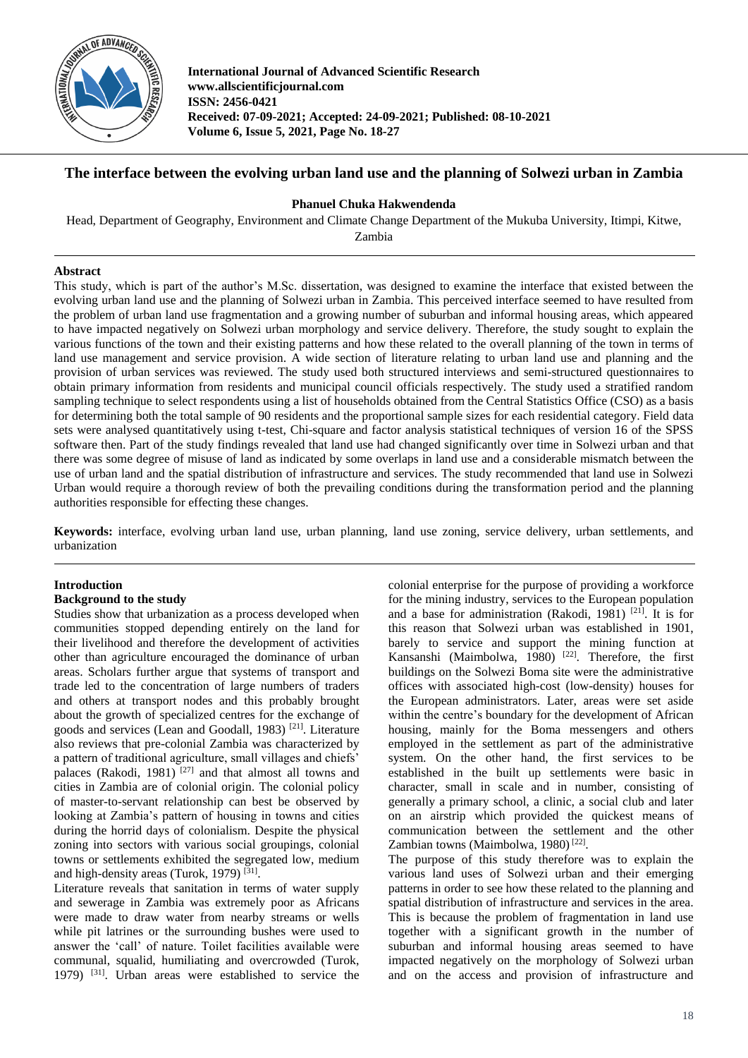

**International Journal of Advanced Scientific Research www.allscientificjournal.com ISSN: 2456-0421 Received: 07-09-2021; Accepted: 24-09-2021; Published: 08-10-2021 Volume 6, Issue 5, 2021, Page No. 18-27**

# **The interface between the evolving urban land use and the planning of Solwezi urban in Zambia**

### **Phanuel Chuka Hakwendenda**

Head, Department of Geography, Environment and Climate Change Department of the Mukuba University, Itimpi, Kitwe,

Zambia

# **Abstract**

This study, which is part of the author's M.Sc. dissertation, was designed to examine the interface that existed between the evolving urban land use and the planning of Solwezi urban in Zambia. This perceived interface seemed to have resulted from the problem of urban land use fragmentation and a growing number of suburban and informal housing areas, which appeared to have impacted negatively on Solwezi urban morphology and service delivery. Therefore, the study sought to explain the various functions of the town and their existing patterns and how these related to the overall planning of the town in terms of land use management and service provision. A wide section of literature relating to urban land use and planning and the provision of urban services was reviewed. The study used both structured interviews and semi-structured questionnaires to obtain primary information from residents and municipal council officials respectively. The study used a stratified random sampling technique to select respondents using a list of households obtained from the Central Statistics Office (CSO) as a basis for determining both the total sample of 90 residents and the proportional sample sizes for each residential category. Field data sets were analysed quantitatively using t-test, Chi-square and factor analysis statistical techniques of version 16 of the SPSS software then. Part of the study findings revealed that land use had changed significantly over time in Solwezi urban and that there was some degree of misuse of land as indicated by some overlaps in land use and a considerable mismatch between the use of urban land and the spatial distribution of infrastructure and services. The study recommended that land use in Solwezi Urban would require a thorough review of both the prevailing conditions during the transformation period and the planning authorities responsible for effecting these changes.

**Keywords:** interface, evolving urban land use, urban planning, land use zoning, service delivery, urban settlements, and urbanization

# **Introduction**

# **Background to the study**

Studies show that urbanization as a process developed when communities stopped depending entirely on the land for their livelihood and therefore the development of activities other than agriculture encouraged the dominance of urban areas. Scholars further argue that systems of transport and trade led to the concentration of large numbers of traders and others at transport nodes and this probably brought about the growth of specialized centres for the exchange of goods and services (Lean and Goodall, 1983)<sup>[21]</sup>. Literature also reviews that pre-colonial Zambia was characterized by a pattern of traditional agriculture, small villages and chiefs' palaces (Rakodi, 1981)<sup>[27]</sup> and that almost all towns and cities in Zambia are of colonial origin. The colonial policy of master-to-servant relationship can best be observed by looking at Zambia's pattern of housing in towns and cities during the horrid days of colonialism. Despite the physical zoning into sectors with various social groupings, colonial towns or settlements exhibited the segregated low, medium and high-density areas (Turok, 1979)<sup>[31]</sup>.

Literature reveals that sanitation in terms of water supply and sewerage in Zambia was extremely poor as Africans were made to draw water from nearby streams or wells while pit latrines or the surrounding bushes were used to answer the 'call' of nature. Toilet facilities available were communal, squalid, humiliating and overcrowded (Turok, 1979) [31] . Urban areas were established to service the colonial enterprise for the purpose of providing a workforce for the mining industry, services to the European population and a base for administration (Rakodi, 1981)<sup>[21]</sup>. It is for this reason that Solwezi urban was established in 1901, barely to service and support the mining function at Kansanshi (Maimbolwa, 1980)<sup>[22]</sup>. Therefore, the first buildings on the Solwezi Boma site were the administrative offices with associated high-cost (low-density) houses for the European administrators. Later, areas were set aside within the centre's boundary for the development of African housing, mainly for the Boma messengers and others employed in the settlement as part of the administrative system. On the other hand, the first services to be established in the built up settlements were basic in character, small in scale and in number, consisting of generally a primary school, a clinic, a social club and later on an airstrip which provided the quickest means of communication between the settlement and the other Zambian towns (Maimbolwa, 1980)<sup>[22]</sup>.

The purpose of this study therefore was to explain the various land uses of Solwezi urban and their emerging patterns in order to see how these related to the planning and spatial distribution of infrastructure and services in the area. This is because the problem of fragmentation in land use together with a significant growth in the number of suburban and informal housing areas seemed to have impacted negatively on the morphology of Solwezi urban and on the access and provision of infrastructure and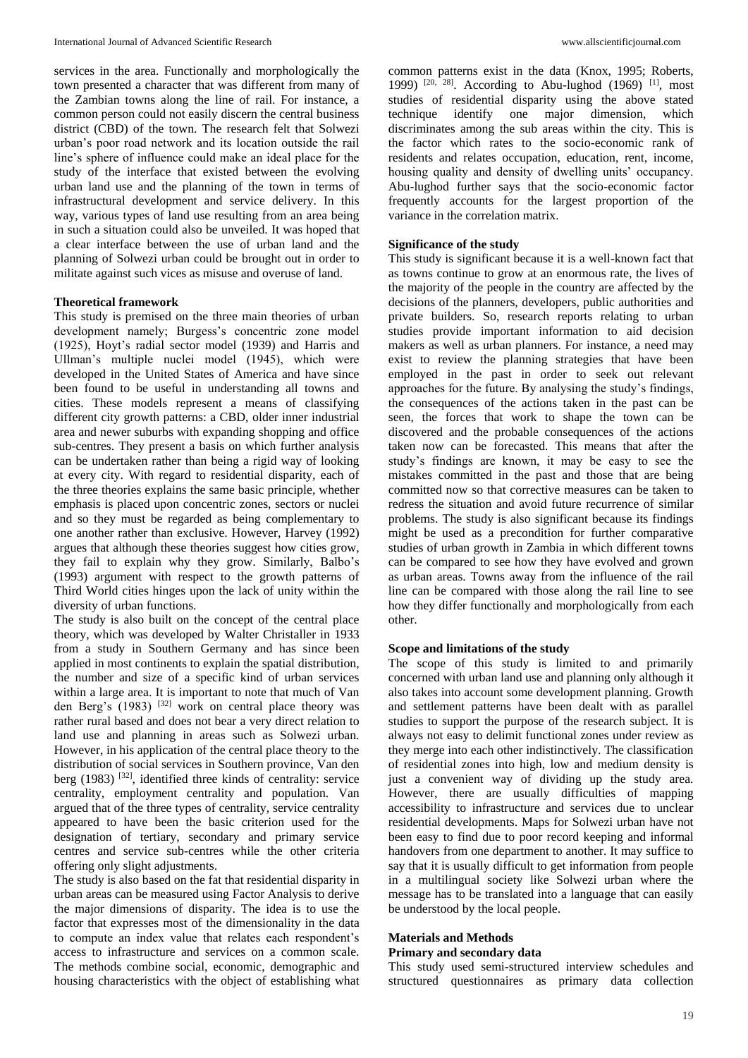services in the area. Functionally and morphologically the town presented a character that was different from many of the Zambian towns along the line of rail. For instance, a common person could not easily discern the central business district (CBD) of the town. The research felt that Solwezi urban's poor road network and its location outside the rail line's sphere of influence could make an ideal place for the study of the interface that existed between the evolving urban land use and the planning of the town in terms of infrastructural development and service delivery. In this way, various types of land use resulting from an area being in such a situation could also be unveiled. It was hoped that a clear interface between the use of urban land and the planning of Solwezi urban could be brought out in order to militate against such vices as misuse and overuse of land.

## **Theoretical framework**

This study is premised on the three main theories of urban development namely; Burgess's concentric zone model (1925), Hoyt's radial sector model (1939) and Harris and Ullman's multiple nuclei model (1945), which were developed in the United States of America and have since been found to be useful in understanding all towns and cities. These models represent a means of classifying different city growth patterns: a CBD, older inner industrial area and newer suburbs with expanding shopping and office sub-centres. They present a basis on which further analysis can be undertaken rather than being a rigid way of looking at every city. With regard to residential disparity, each of the three theories explains the same basic principle, whether emphasis is placed upon concentric zones, sectors or nuclei and so they must be regarded as being complementary to one another rather than exclusive. However, Harvey (1992) argues that although these theories suggest how cities grow, they fail to explain why they grow. Similarly, Balbo's (1993) argument with respect to the growth patterns of Third World cities hinges upon the lack of unity within the diversity of urban functions.

The study is also built on the concept of the central place theory, which was developed by Walter Christaller in 1933 from a study in Southern Germany and has since been applied in most continents to explain the spatial distribution, the number and size of a specific kind of urban services within a large area. It is important to note that much of Van den Berg's  $(1983)$ <sup>[32]</sup> work on central place theory was rather rural based and does not bear a very direct relation to land use and planning in areas such as Solwezi urban. However, in his application of the central place theory to the distribution of social services in Southern province, Van den berg (1983)<sup>[32]</sup>, identified three kinds of centrality: service centrality, employment centrality and population. Van argued that of the three types of centrality, service centrality appeared to have been the basic criterion used for the designation of tertiary, secondary and primary service centres and service sub-centres while the other criteria offering only slight adjustments.

The study is also based on the fat that residential disparity in urban areas can be measured using Factor Analysis to derive the major dimensions of disparity. The idea is to use the factor that expresses most of the dimensionality in the data to compute an index value that relates each respondent's access to infrastructure and services on a common scale. The methods combine social, economic, demographic and housing characteristics with the object of establishing what common patterns exist in the data (Knox, 1995; Roberts, 1999)<sup>[20, 28]</sup>. According to Abu-lughod (1969)<sup>[1]</sup>, most studies of residential disparity using the above stated technique identify one major dimension, which discriminates among the sub areas within the city. This is the factor which rates to the socio-economic rank of residents and relates occupation, education, rent, income, housing quality and density of dwelling units' occupancy. Abu-lughod further says that the socio-economic factor frequently accounts for the largest proportion of the variance in the correlation matrix.

## **Significance of the study**

This study is significant because it is a well-known fact that as towns continue to grow at an enormous rate, the lives of the majority of the people in the country are affected by the decisions of the planners, developers, public authorities and private builders. So, research reports relating to urban studies provide important information to aid decision makers as well as urban planners. For instance, a need may exist to review the planning strategies that have been employed in the past in order to seek out relevant approaches for the future. By analysing the study's findings, the consequences of the actions taken in the past can be seen, the forces that work to shape the town can be discovered and the probable consequences of the actions taken now can be forecasted. This means that after the study's findings are known, it may be easy to see the mistakes committed in the past and those that are being committed now so that corrective measures can be taken to redress the situation and avoid future recurrence of similar problems. The study is also significant because its findings might be used as a precondition for further comparative studies of urban growth in Zambia in which different towns can be compared to see how they have evolved and grown as urban areas. Towns away from the influence of the rail line can be compared with those along the rail line to see how they differ functionally and morphologically from each other.

### **Scope and limitations of the study**

The scope of this study is limited to and primarily concerned with urban land use and planning only although it also takes into account some development planning. Growth and settlement patterns have been dealt with as parallel studies to support the purpose of the research subject. It is always not easy to delimit functional zones under review as they merge into each other indistinctively. The classification of residential zones into high, low and medium density is just a convenient way of dividing up the study area. However, there are usually difficulties of mapping accessibility to infrastructure and services due to unclear residential developments. Maps for Solwezi urban have not been easy to find due to poor record keeping and informal handovers from one department to another. It may suffice to say that it is usually difficult to get information from people in a multilingual society like Solwezi urban where the message has to be translated into a language that can easily be understood by the local people.

# **Materials and Methods**

### **Primary and secondary data**

This study used semi-structured interview schedules and structured questionnaires as primary data collection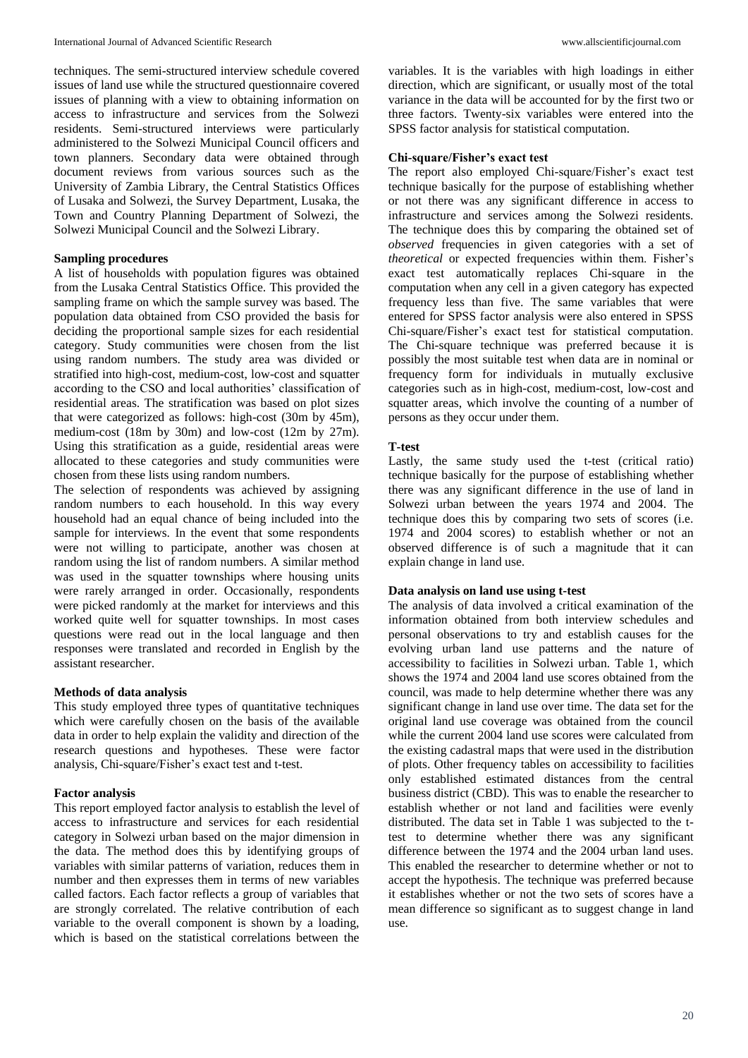techniques. The semi-structured interview schedule covered issues of land use while the structured questionnaire covered issues of planning with a view to obtaining information on access to infrastructure and services from the Solwezi residents. Semi-structured interviews were particularly administered to the Solwezi Municipal Council officers and town planners. Secondary data were obtained through document reviews from various sources such as the University of Zambia Library, the Central Statistics Offices of Lusaka and Solwezi, the Survey Department, Lusaka, the Town and Country Planning Department of Solwezi, the Solwezi Municipal Council and the Solwezi Library.

# **Sampling procedures**

A list of households with population figures was obtained from the Lusaka Central Statistics Office. This provided the sampling frame on which the sample survey was based. The population data obtained from CSO provided the basis for deciding the proportional sample sizes for each residential category. Study communities were chosen from the list using random numbers. The study area was divided or stratified into high-cost, medium-cost, low-cost and squatter according to the CSO and local authorities' classification of residential areas. The stratification was based on plot sizes that were categorized as follows: high-cost (30m by 45m), medium-cost (18m by 30m) and low-cost (12m by 27m). Using this stratification as a guide, residential areas were allocated to these categories and study communities were chosen from these lists using random numbers.

The selection of respondents was achieved by assigning random numbers to each household. In this way every household had an equal chance of being included into the sample for interviews. In the event that some respondents were not willing to participate, another was chosen at random using the list of random numbers. A similar method was used in the squatter townships where housing units were rarely arranged in order. Occasionally, respondents were picked randomly at the market for interviews and this worked quite well for squatter townships. In most cases questions were read out in the local language and then responses were translated and recorded in English by the assistant researcher.

### **Methods of data analysis**

This study employed three types of quantitative techniques which were carefully chosen on the basis of the available data in order to help explain the validity and direction of the research questions and hypotheses. These were factor analysis, Chi-square/Fisher's exact test and t-test.

## **Factor analysis**

This report employed factor analysis to establish the level of access to infrastructure and services for each residential category in Solwezi urban based on the major dimension in the data. The method does this by identifying groups of variables with similar patterns of variation, reduces them in number and then expresses them in terms of new variables called factors. Each factor reflects a group of variables that are strongly correlated. The relative contribution of each variable to the overall component is shown by a loading, which is based on the statistical correlations between the

variables. It is the variables with high loadings in either direction, which are significant, or usually most of the total variance in the data will be accounted for by the first two or three factors. Twenty-six variables were entered into the SPSS factor analysis for statistical computation.

# **Chi-square/Fisher's exact test**

The report also employed Chi-square/Fisher's exact test technique basically for the purpose of establishing whether or not there was any significant difference in access to infrastructure and services among the Solwezi residents. The technique does this by comparing the obtained set of *observed* frequencies in given categories with a set of *theoretical* or expected frequencies within them. Fisher's exact test automatically replaces Chi-square in the computation when any cell in a given category has expected frequency less than five. The same variables that were entered for SPSS factor analysis were also entered in SPSS Chi-square/Fisher's exact test for statistical computation. The Chi-square technique was preferred because it is possibly the most suitable test when data are in nominal or frequency form for individuals in mutually exclusive categories such as in high-cost, medium-cost, low-cost and squatter areas, which involve the counting of a number of persons as they occur under them.

#### **T-test**

Lastly, the same study used the t-test (critical ratio) technique basically for the purpose of establishing whether there was any significant difference in the use of land in Solwezi urban between the years 1974 and 2004. The technique does this by comparing two sets of scores (i.e. 1974 and 2004 scores) to establish whether or not an observed difference is of such a magnitude that it can explain change in land use.

### **Data analysis on land use using t-test**

The analysis of data involved a critical examination of the information obtained from both interview schedules and personal observations to try and establish causes for the evolving urban land use patterns and the nature of accessibility to facilities in Solwezi urban. Table 1, which shows the 1974 and 2004 land use scores obtained from the council, was made to help determine whether there was any significant change in land use over time. The data set for the original land use coverage was obtained from the council while the current 2004 land use scores were calculated from the existing cadastral maps that were used in the distribution of plots. Other frequency tables on accessibility to facilities only established estimated distances from the central business district (CBD). This was to enable the researcher to establish whether or not land and facilities were evenly distributed. The data set in Table 1 was subjected to the ttest to determine whether there was any significant difference between the 1974 and the 2004 urban land uses. This enabled the researcher to determine whether or not to accept the hypothesis. The technique was preferred because it establishes whether or not the two sets of scores have a mean difference so significant as to suggest change in land use.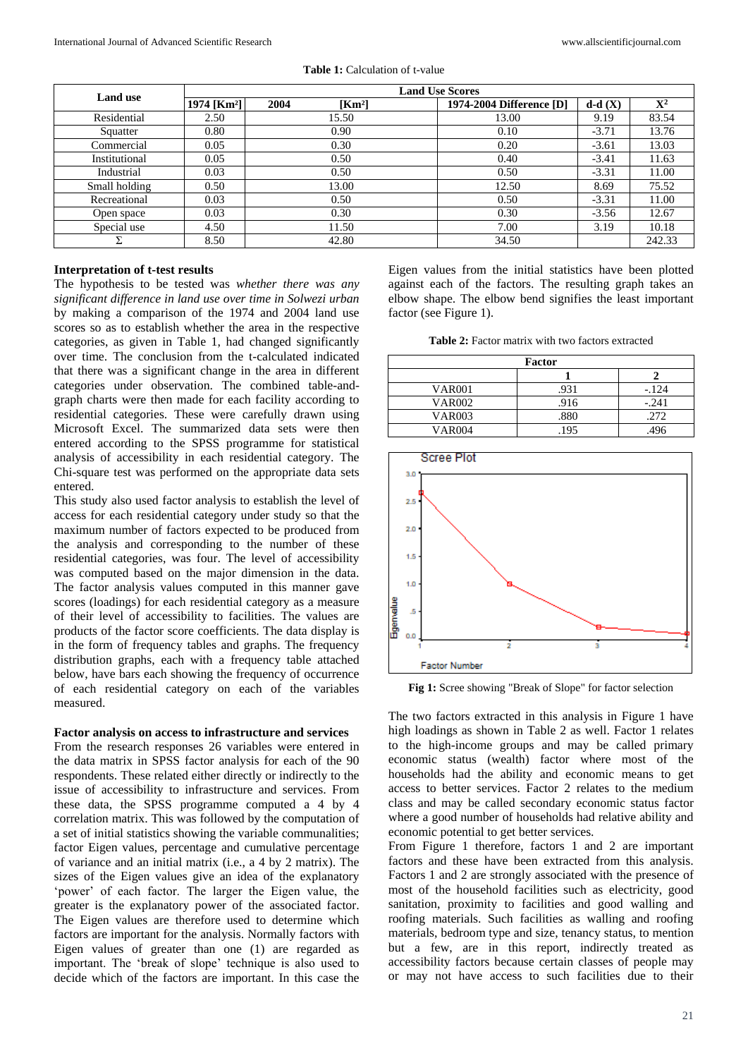| <b>Land use</b> | <b>Land Use Scores</b>  |                            |                          |          |                |  |
|-----------------|-------------------------|----------------------------|--------------------------|----------|----------------|--|
|                 | 1974 [Km <sup>2</sup> ] | 2004<br>[Km <sup>2</sup> ] | 1974-2004 Difference [D] | $d-d(X)$ | $\mathbf{X}^2$ |  |
| Residential     | 2.50                    | 15.50                      | 13.00                    | 9.19     | 83.54          |  |
| Squatter        | 0.80                    | 0.90                       | 0.10                     | $-3.71$  | 13.76          |  |
| Commercial      | 0.05                    | 0.30                       | 0.20                     | $-3.61$  | 13.03          |  |
| Institutional   | 0.05                    | 0.50                       | 0.40                     | $-3.41$  | 11.63          |  |
| Industrial      | 0.03                    | 0.50                       | 0.50                     | $-3.31$  | 11.00          |  |
| Small holding   | 0.50                    | 13.00                      | 12.50                    | 8.69     | 75.52          |  |
| Recreational    | 0.03                    | 0.50                       | 0.50                     | $-3.31$  | 11.00          |  |
| Open space      | 0.03                    | 0.30                       | 0.30                     | $-3.56$  | 12.67          |  |
| Special use     | 4.50                    | 11.50                      | 7.00                     | 3.19     | 10.18          |  |
|                 | 8.50                    | 42.80                      | 34.50                    |          | 242.33         |  |

**Table 1:** Calculation of t-value

## **Interpretation of t-test results**

The hypothesis to be tested was *whether there was any significant difference in land use over time in Solwezi urban*  by making a comparison of the 1974 and 2004 land use scores so as to establish whether the area in the respective categories, as given in Table 1, had changed significantly over time. The conclusion from the t-calculated indicated that there was a significant change in the area in different categories under observation. The combined table-andgraph charts were then made for each facility according to residential categories. These were carefully drawn using Microsoft Excel. The summarized data sets were then entered according to the SPSS programme for statistical analysis of accessibility in each residential category. The Chi-square test was performed on the appropriate data sets entered.

This study also used factor analysis to establish the level of access for each residential category under study so that the maximum number of factors expected to be produced from the analysis and corresponding to the number of these residential categories, was four. The level of accessibility was computed based on the major dimension in the data. The factor analysis values computed in this manner gave scores (loadings) for each residential category as a measure of their level of accessibility to facilities. The values are products of the factor score coefficients. The data display is in the form of frequency tables and graphs. The frequency distribution graphs, each with a frequency table attached below, have bars each showing the frequency of occurrence of each residential category on each of the variables measured.

#### **Factor analysis on access to infrastructure and services**

From the research responses 26 variables were entered in the data matrix in SPSS factor analysis for each of the 90 respondents. These related either directly or indirectly to the issue of accessibility to infrastructure and services. From these data, the SPSS programme computed a 4 by 4 correlation matrix. This was followed by the computation of a set of initial statistics showing the variable communalities; factor Eigen values, percentage and cumulative percentage of variance and an initial matrix (i.e., a 4 by 2 matrix). The sizes of the Eigen values give an idea of the explanatory 'power' of each factor. The larger the Eigen value, the greater is the explanatory power of the associated factor. The Eigen values are therefore used to determine which factors are important for the analysis. Normally factors with Eigen values of greater than one (1) are regarded as important. The 'break of slope' technique is also used to decide which of the factors are important. In this case the

Eigen values from the initial statistics have been plotted against each of the factors. The resulting graph takes an elbow shape. The elbow bend signifies the least important factor (see Figure 1).

| <b>Table 2:</b> Factor matrix with two factors extracted |  |  |  |
|----------------------------------------------------------|--|--|--|
|----------------------------------------------------------|--|--|--|

|               | Factor |         |  |  |  |
|---------------|--------|---------|--|--|--|
|               |        |         |  |  |  |
| <b>VAR001</b> | .931   | $-124$  |  |  |  |
| <b>VAR002</b> | .916   | $-.241$ |  |  |  |
| <b>VAR003</b> | .880   | .272    |  |  |  |
| <b>VAR004</b> | .195   | .496    |  |  |  |



**Fig 1:** Scree showing "Break of Slope" for factor selection

The two factors extracted in this analysis in Figure 1 have high loadings as shown in Table 2 as well. Factor 1 relates to the high-income groups and may be called primary economic status (wealth) factor where most of the households had the ability and economic means to get access to better services. Factor 2 relates to the medium class and may be called secondary economic status factor where a good number of households had relative ability and economic potential to get better services.

From Figure 1 therefore, factors 1 and 2 are important factors and these have been extracted from this analysis. Factors 1 and 2 are strongly associated with the presence of most of the household facilities such as electricity, good sanitation, proximity to facilities and good walling and roofing materials. Such facilities as walling and roofing materials, bedroom type and size, tenancy status, to mention but a few, are in this report, indirectly treated as accessibility factors because certain classes of people may or may not have access to such facilities due to their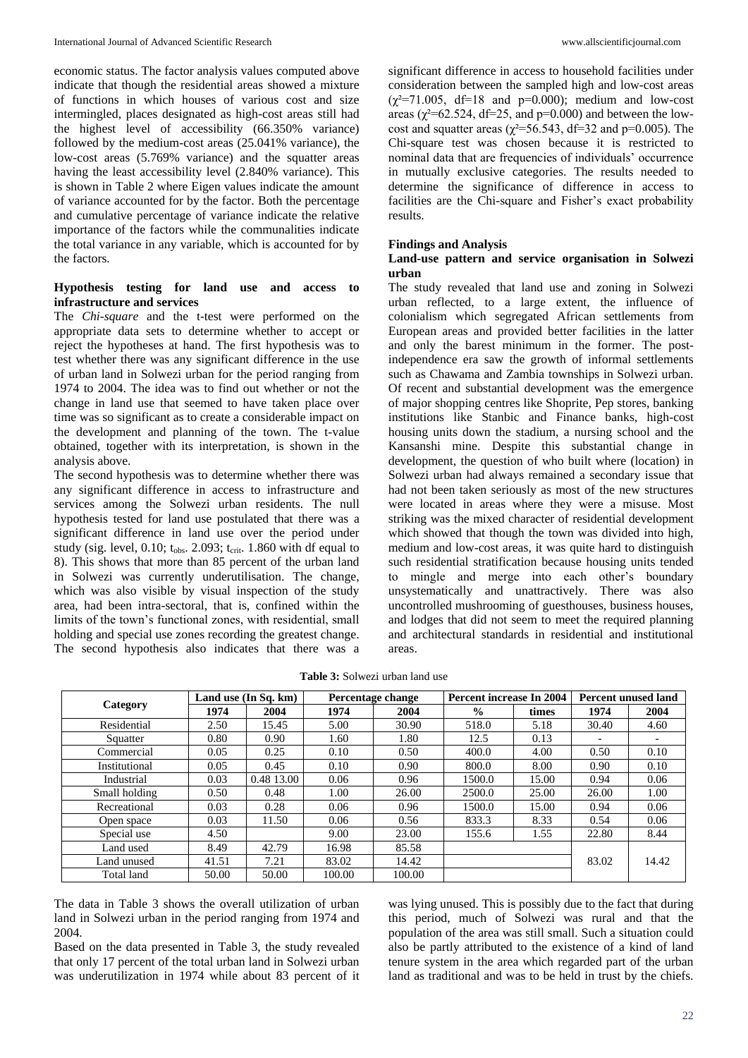economic status. The factor analysis values computed above indicate that though the residential areas showed a mixture of functions in which houses of various cost and size intermingled, places designated as high-cost areas still had the highest level of accessibility (66.350% variance) followed by the medium-cost areas (25.041% variance), the low-cost areas (5.769% variance) and the squatter areas having the least accessibility level (2.840% variance). This is shown in Table 2 where Eigen values indicate the amount of variance accounted for by the factor. Both the percentage and cumulative percentage of variance indicate the relative importance of the factors while the communalities indicate the total variance in any variable, which is accounted for by the factors.

### **Hypothesis testing for land use and access to infrastructure and services**

The *Chi-square* and the t-test were performed on the appropriate data sets to determine whether to accept or reject the hypotheses at hand. The first hypothesis was to test whether there was any significant difference in the use of urban land in Solwezi urban for the period ranging from 1974 to 2004. The idea was to find out whether or not the change in land use that seemed to have taken place over time was so significant as to create a considerable impact on the development and planning of the town. The t-value obtained, together with its interpretation, is shown in the analysis above.

The second hypothesis was to determine whether there was any significant difference in access to infrastructure and services among the Solwezi urban residents. The null hypothesis tested for land use postulated that there was a significant difference in land use over the period under study (sig. level, 0.10;  $t_{obs}$ . 2.093;  $t_{crit}$ . 1.860 with df equal to 8). This shows that more than 85 percent of the urban land in Solwezi was currently underutilisation. The change, which was also visible by visual inspection of the study area, had been intra-sectoral, that is, confined within the limits of the town's functional zones, with residential, small holding and special use zones recording the greatest change. The second hypothesis also indicates that there was a

significant difference in access to household facilities under consideration between the sampled high and low-cost areas  $(\chi^2=71.005, df=18$  and p=0.000); medium and low-cost areas ( $\chi^2$ =62.524, df=25, and p=0.000) and between the lowcost and squatter areas ( $\chi^2$ =56.543, df=32 and p=0.005). The Chi-square test was chosen because it is restricted to nominal data that are frequencies of individuals' occurrence in mutually exclusive categories. The results needed to determine the significance of difference in access to facilities are the Chi-square and Fisher's exact probability results.

## **Findings and Analysis**

### **Land-use pattern and service organisation in Solwezi urban**

The study revealed that land use and zoning in Solwezi urban reflected, to a large extent, the influence of colonialism which segregated African settlements from European areas and provided better facilities in the latter and only the barest minimum in the former. The postindependence era saw the growth of informal settlements such as Chawama and Zambia townships in Solwezi urban. Of recent and substantial development was the emergence of major shopping centres like Shoprite, Pep stores, banking institutions like Stanbic and Finance banks, high-cost housing units down the stadium, a nursing school and the Kansanshi mine. Despite this substantial change in development, the question of who built where (location) in Solwezi urban had always remained a secondary issue that had not been taken seriously as most of the new structures were located in areas where they were a misuse. Most striking was the mixed character of residential development which showed that though the town was divided into high, medium and low-cost areas, it was quite hard to distinguish such residential stratification because housing units tended to mingle and merge into each other's boundary unsystematically and unattractively. There was also uncontrolled mushrooming of guesthouses, business houses, and lodges that did not seem to meet the required planning and architectural standards in residential and institutional areas.

**Table 3:** Solwezi urban land use

|               | Land use $(In Sa. km)$ |            | Percentage change |        | Percent increase In 2004 |       | Percent unused land |       |
|---------------|------------------------|------------|-------------------|--------|--------------------------|-------|---------------------|-------|
| Category      | 1974                   | 2004       | 1974              | 2004   | $\frac{0}{0}$            | times | 1974                | 2004  |
| Residential   | 2.50                   | 15.45      | 5.00              | 30.90  | 518.0                    | 5.18  | 30.40               | 4.60  |
| Squatter      | 0.80                   | 0.90       | 1.60              | 1.80   | 12.5                     | 0.13  |                     |       |
| Commercial    | 0.05                   | 0.25       | 0.10              | 0.50   | 400.0                    | 4.00  | 0.50                | 0.10  |
| Institutional | 0.05                   | 0.45       | 0.10              | 0.90   | 800.0                    | 8.00  | 0.90                | 0.10  |
| Industrial    | 0.03                   | 0.48 13.00 | 0.06              | 0.96   | 1500.0                   | 15.00 | 0.94                | 0.06  |
| Small holding | 0.50                   | 0.48       | 1.00              | 26.00  | 2500.0                   | 25.00 | 26.00               | 1.00  |
| Recreational  | 0.03                   | 0.28       | 0.06              | 0.96   | 1500.0                   | 15.00 | 0.94                | 0.06  |
| Open space    | 0.03                   | 11.50      | 0.06              | 0.56   | 833.3                    | 8.33  | 0.54                | 0.06  |
| Special use   | 4.50                   |            | 9.00              | 23.00  | 155.6                    | 1.55  | 22.80               | 8.44  |
| Land used     | 8.49                   | 42.79      | 16.98             | 85.58  |                          |       |                     |       |
| Land unused   | 41.51                  | 7.21       | 83.02             | 14.42  |                          |       | 83.02               | 14.42 |
| Total land    | 50.00                  | 50.00      | 100.00            | 100.00 |                          |       |                     |       |

The data in Table 3 shows the overall utilization of urban land in Solwezi urban in the period ranging from 1974 and 2004.

Based on the data presented in Table 3, the study revealed that only 17 percent of the total urban land in Solwezi urban was underutilization in 1974 while about 83 percent of it

was lying unused. This is possibly due to the fact that during this period, much of Solwezi was rural and that the population of the area was still small. Such a situation could also be partly attributed to the existence of a kind of land tenure system in the area which regarded part of the urban land as traditional and was to be held in trust by the chiefs.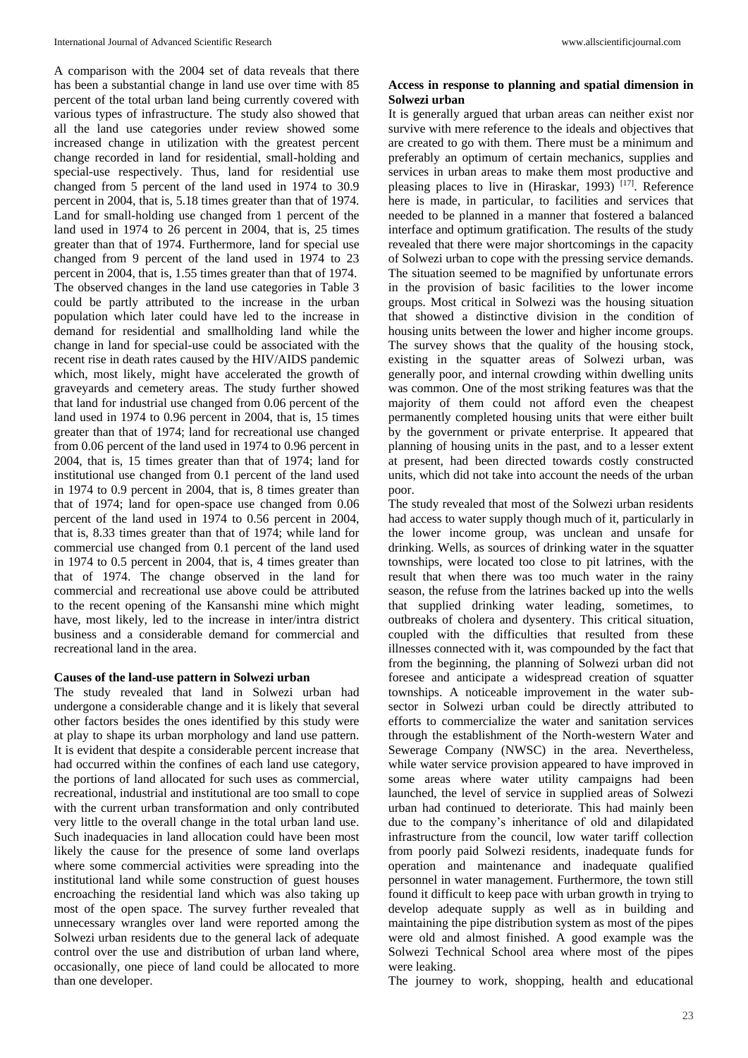A comparison with the 2004 set of data reveals that there has been a substantial change in land use over time with 85 percent of the total urban land being currently covered with various types of infrastructure. The study also showed that all the land use categories under review showed some increased change in utilization with the greatest percent change recorded in land for residential, small-holding and special-use respectively. Thus, land for residential use changed from 5 percent of the land used in 1974 to 30.9 percent in 2004, that is, 5.18 times greater than that of 1974. Land for small-holding use changed from 1 percent of the land used in 1974 to 26 percent in 2004, that is, 25 times greater than that of 1974. Furthermore, land for special use changed from 9 percent of the land used in 1974 to 23 percent in 2004, that is, 1.55 times greater than that of 1974. The observed changes in the land use categories in Table 3 could be partly attributed to the increase in the urban population which later could have led to the increase in demand for residential and smallholding land while the change in land for special-use could be associated with the recent rise in death rates caused by the HIV/AIDS pandemic which, most likely, might have accelerated the growth of graveyards and cemetery areas. The study further showed that land for industrial use changed from 0.06 percent of the land used in 1974 to 0.96 percent in 2004, that is, 15 times greater than that of 1974; land for recreational use changed from 0.06 percent of the land used in 1974 to 0.96 percent in 2004, that is, 15 times greater than that of 1974; land for institutional use changed from 0.1 percent of the land used in 1974 to 0.9 percent in 2004, that is, 8 times greater than that of 1974; land for open-space use changed from 0.06 percent of the land used in 1974 to 0.56 percent in 2004, that is, 8.33 times greater than that of 1974; while land for commercial use changed from 0.1 percent of the land used in 1974 to 0.5 percent in 2004, that is, 4 times greater than that of 1974. The change observed in the land for commercial and recreational use above could be attributed to the recent opening of the Kansanshi mine which might have, most likely, led to the increase in inter/intra district business and a considerable demand for commercial and recreational land in the area.

#### **Causes of the land-use pattern in Solwezi urban**

The study revealed that land in Solwezi urban had undergone a considerable change and it is likely that several other factors besides the ones identified by this study were at play to shape its urban morphology and land use pattern. It is evident that despite a considerable percent increase that had occurred within the confines of each land use category, the portions of land allocated for such uses as commercial, recreational, industrial and institutional are too small to cope with the current urban transformation and only contributed very little to the overall change in the total urban land use. Such inadequacies in land allocation could have been most likely the cause for the presence of some land overlaps where some commercial activities were spreading into the institutional land while some construction of guest houses encroaching the residential land which was also taking up most of the open space. The survey further revealed that unnecessary wrangles over land were reported among the Solwezi urban residents due to the general lack of adequate control over the use and distribution of urban land where, occasionally, one piece of land could be allocated to more than one developer.

## **Access in response to planning and spatial dimension in Solwezi urban**

It is generally argued that urban areas can neither exist nor survive with mere reference to the ideals and objectives that are created to go with them. There must be a minimum and preferably an optimum of certain mechanics, supplies and services in urban areas to make them most productive and pleasing places to live in (Hiraskar, 1993)<sup>[17]</sup>. Reference here is made, in particular, to facilities and services that needed to be planned in a manner that fostered a balanced interface and optimum gratification. The results of the study revealed that there were major shortcomings in the capacity of Solwezi urban to cope with the pressing service demands. The situation seemed to be magnified by unfortunate errors in the provision of basic facilities to the lower income groups. Most critical in Solwezi was the housing situation that showed a distinctive division in the condition of housing units between the lower and higher income groups. The survey shows that the quality of the housing stock, existing in the squatter areas of Solwezi urban, was generally poor, and internal crowding within dwelling units was common. One of the most striking features was that the majority of them could not afford even the cheapest permanently completed housing units that were either built by the government or private enterprise. It appeared that planning of housing units in the past, and to a lesser extent at present, had been directed towards costly constructed units, which did not take into account the needs of the urban poor.

The study revealed that most of the Solwezi urban residents had access to water supply though much of it, particularly in the lower income group, was unclean and unsafe for drinking. Wells, as sources of drinking water in the squatter townships, were located too close to pit latrines, with the result that when there was too much water in the rainy season, the refuse from the latrines backed up into the wells that supplied drinking water leading, sometimes, to outbreaks of cholera and dysentery. This critical situation, coupled with the difficulties that resulted from these illnesses connected with it, was compounded by the fact that from the beginning, the planning of Solwezi urban did not foresee and anticipate a widespread creation of squatter townships. A noticeable improvement in the water subsector in Solwezi urban could be directly attributed to efforts to commercialize the water and sanitation services through the establishment of the North-western Water and Sewerage Company (NWSC) in the area. Nevertheless, while water service provision appeared to have improved in some areas where water utility campaigns had been launched, the level of service in supplied areas of Solwezi urban had continued to deteriorate. This had mainly been due to the company's inheritance of old and dilapidated infrastructure from the council, low water tariff collection from poorly paid Solwezi residents, inadequate funds for operation and maintenance and inadequate qualified personnel in water management. Furthermore, the town still found it difficult to keep pace with urban growth in trying to develop adequate supply as well as in building and maintaining the pipe distribution system as most of the pipes were old and almost finished. A good example was the Solwezi Technical School area where most of the pipes were leaking.

The journey to work, shopping, health and educational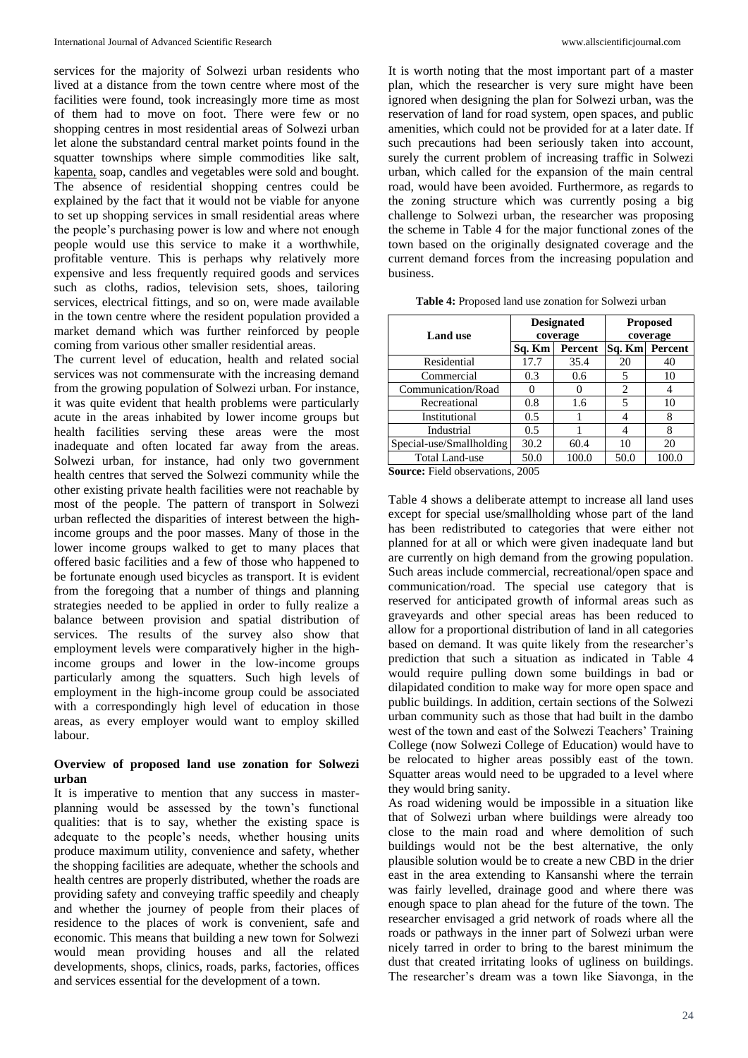services for the majority of Solwezi urban residents who lived at a distance from the town centre where most of the facilities were found, took increasingly more time as most of them had to move on foot. There were few or no shopping centres in most residential areas of Solwezi urban let alone the substandard central market points found in the squatter townships where simple commodities like salt, kapenta, soap, candles and vegetables were sold and bought. The absence of residential shopping centres could be explained by the fact that it would not be viable for anyone to set up shopping services in small residential areas where the people's purchasing power is low and where not enough people would use this service to make it a worthwhile, profitable venture. This is perhaps why relatively more expensive and less frequently required goods and services such as cloths, radios, television sets, shoes, tailoring services, electrical fittings, and so on, were made available in the town centre where the resident population provided a market demand which was further reinforced by people coming from various other smaller residential areas.

The current level of education, health and related social services was not commensurate with the increasing demand from the growing population of Solwezi urban. For instance, it was quite evident that health problems were particularly acute in the areas inhabited by lower income groups but health facilities serving these areas were the most inadequate and often located far away from the areas. Solwezi urban, for instance, had only two government health centres that served the Solwezi community while the other existing private health facilities were not reachable by most of the people. The pattern of transport in Solwezi urban reflected the disparities of interest between the highincome groups and the poor masses. Many of those in the lower income groups walked to get to many places that offered basic facilities and a few of those who happened to be fortunate enough used bicycles as transport. It is evident from the foregoing that a number of things and planning strategies needed to be applied in order to fully realize a balance between provision and spatial distribution of services. The results of the survey also show that employment levels were comparatively higher in the highincome groups and lower in the low-income groups particularly among the squatters. Such high levels of employment in the high-income group could be associated with a correspondingly high level of education in those areas, as every employer would want to employ skilled labour.

### **Overview of proposed land use zonation for Solwezi urban**

It is imperative to mention that any success in masterplanning would be assessed by the town's functional qualities: that is to say, whether the existing space is adequate to the people's needs, whether housing units produce maximum utility, convenience and safety, whether the shopping facilities are adequate, whether the schools and health centres are properly distributed, whether the roads are providing safety and conveying traffic speedily and cheaply and whether the journey of people from their places of residence to the places of work is convenient, safe and economic. This means that building a new town for Solwezi would mean providing houses and all the related developments, shops, clinics, roads, parks, factories, offices and services essential for the development of a town.

It is worth noting that the most important part of a master plan, which the researcher is very sure might have been ignored when designing the plan for Solwezi urban, was the reservation of land for road system, open spaces, and public amenities, which could not be provided for at a later date. If such precautions had been seriously taken into account, surely the current problem of increasing traffic in Solwezi urban, which called for the expansion of the main central road, would have been avoided. Furthermore, as regards to the zoning structure which was currently posing a big challenge to Solwezi urban, the researcher was proposing the scheme in Table 4 for the major functional zones of the town based on the originally designated coverage and the current demand forces from the increasing population and business.

| <b>Table 4:</b> Proposed land use zonation for Solwezi urban |  |
|--------------------------------------------------------------|--|
|                                                              |  |

|                          |               | <b>Designated</b> | <b>Proposed</b> |       |  |
|--------------------------|---------------|-------------------|-----------------|-------|--|
| <b>Land use</b>          |               | coverage          | coverage        |       |  |
|                          | Sq. Km        | Percent           | Sq. Km Percent  |       |  |
| Residential              | 17.7          | 35.4              | 20              | 40    |  |
| Commercial               | 0.3           | 0.6               |                 | 10    |  |
| Communication/Road       |               | 0                 | 2               |       |  |
| Recreational             | 0.8           | 1.6               |                 | 10    |  |
| Institutional            | $0.5^{\circ}$ |                   |                 | 8     |  |
| Industrial               | 0.5           |                   |                 | 8     |  |
| Special-use/Smallholding | 30.2          | 60.4              | 10              | 20    |  |
| <b>Total Land-use</b>    | 50.0          | 100.0             | 50.0            | 100.0 |  |

**Source:** Field observations, 2005

Table 4 shows a deliberate attempt to increase all land uses except for special use/smallholding whose part of the land has been redistributed to categories that were either not planned for at all or which were given inadequate land but are currently on high demand from the growing population. Such areas include commercial, recreational/open space and communication/road. The special use category that is reserved for anticipated growth of informal areas such as graveyards and other special areas has been reduced to allow for a proportional distribution of land in all categories based on demand. It was quite likely from the researcher's prediction that such a situation as indicated in Table 4 would require pulling down some buildings in bad or dilapidated condition to make way for more open space and public buildings. In addition, certain sections of the Solwezi urban community such as those that had built in the dambo west of the town and east of the Solwezi Teachers' Training College (now Solwezi College of Education) would have to be relocated to higher areas possibly east of the town. Squatter areas would need to be upgraded to a level where they would bring sanity.

As road widening would be impossible in a situation like that of Solwezi urban where buildings were already too close to the main road and where demolition of such buildings would not be the best alternative, the only plausible solution would be to create a new CBD in the drier east in the area extending to Kansanshi where the terrain was fairly levelled, drainage good and where there was enough space to plan ahead for the future of the town. The researcher envisaged a grid network of roads where all the roads or pathways in the inner part of Solwezi urban were nicely tarred in order to bring to the barest minimum the dust that created irritating looks of ugliness on buildings. The researcher's dream was a town like Siavonga, in the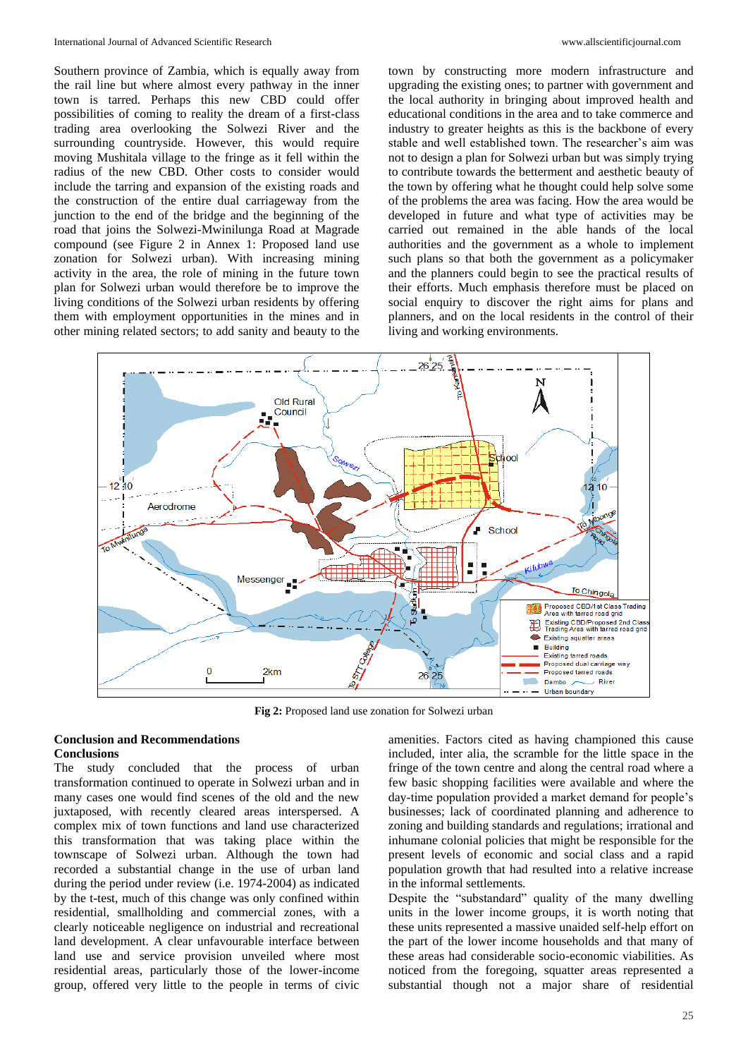Southern province of Zambia, which is equally away from the rail line but where almost every pathway in the inner town is tarred. Perhaps this new CBD could offer possibilities of coming to reality the dream of a first-class trading area overlooking the Solwezi River and the surrounding countryside. However, this would require moving Mushitala village to the fringe as it fell within the radius of the new CBD. Other costs to consider would include the tarring and expansion of the existing roads and the construction of the entire dual carriageway from the junction to the end of the bridge and the beginning of the road that joins the Solwezi-Mwinilunga Road at Magrade compound (see Figure 2 in Annex 1: Proposed land use zonation for Solwezi urban). With increasing mining activity in the area, the role of mining in the future town plan for Solwezi urban would therefore be to improve the living conditions of the Solwezi urban residents by offering them with employment opportunities in the mines and in other mining related sectors; to add sanity and beauty to the

town by constructing more modern infrastructure and upgrading the existing ones; to partner with government and the local authority in bringing about improved health and educational conditions in the area and to take commerce and industry to greater heights as this is the backbone of every stable and well established town. The researcher's aim was not to design a plan for Solwezi urban but was simply trying to contribute towards the betterment and aesthetic beauty of the town by offering what he thought could help solve some of the problems the area was facing. How the area would be developed in future and what type of activities may be carried out remained in the able hands of the local authorities and the government as a whole to implement such plans so that both the government as a policymaker and the planners could begin to see the practical results of their efforts. Much emphasis therefore must be placed on social enquiry to discover the right aims for plans and planners, and on the local residents in the control of their living and working environments.



**Fig 2:** Proposed land use zonation for Solwezi urban

# **Conclusion and Recommendations Conclusions**

The study concluded that the process of urban transformation continued to operate in Solwezi urban and in many cases one would find scenes of the old and the new juxtaposed, with recently cleared areas interspersed. A complex mix of town functions and land use characterized this transformation that was taking place within the townscape of Solwezi urban. Although the town had recorded a substantial change in the use of urban land during the period under review (i.e. 1974-2004) as indicated by the t-test, much of this change was only confined within residential, smallholding and commercial zones, with a clearly noticeable negligence on industrial and recreational land development. A clear unfavourable interface between land use and service provision unveiled where most residential areas, particularly those of the lower-income group, offered very little to the people in terms of civic

amenities. Factors cited as having championed this cause included, inter alia, the scramble for the little space in the fringe of the town centre and along the central road where a few basic shopping facilities were available and where the day-time population provided a market demand for people's businesses; lack of coordinated planning and adherence to zoning and building standards and regulations; irrational and inhumane colonial policies that might be responsible for the present levels of economic and social class and a rapid population growth that had resulted into a relative increase in the informal settlements.

Despite the "substandard" quality of the many dwelling units in the lower income groups, it is worth noting that these units represented a massive unaided self-help effort on the part of the lower income households and that many of these areas had considerable socio-economic viabilities. As noticed from the foregoing, squatter areas represented a substantial though not a major share of residential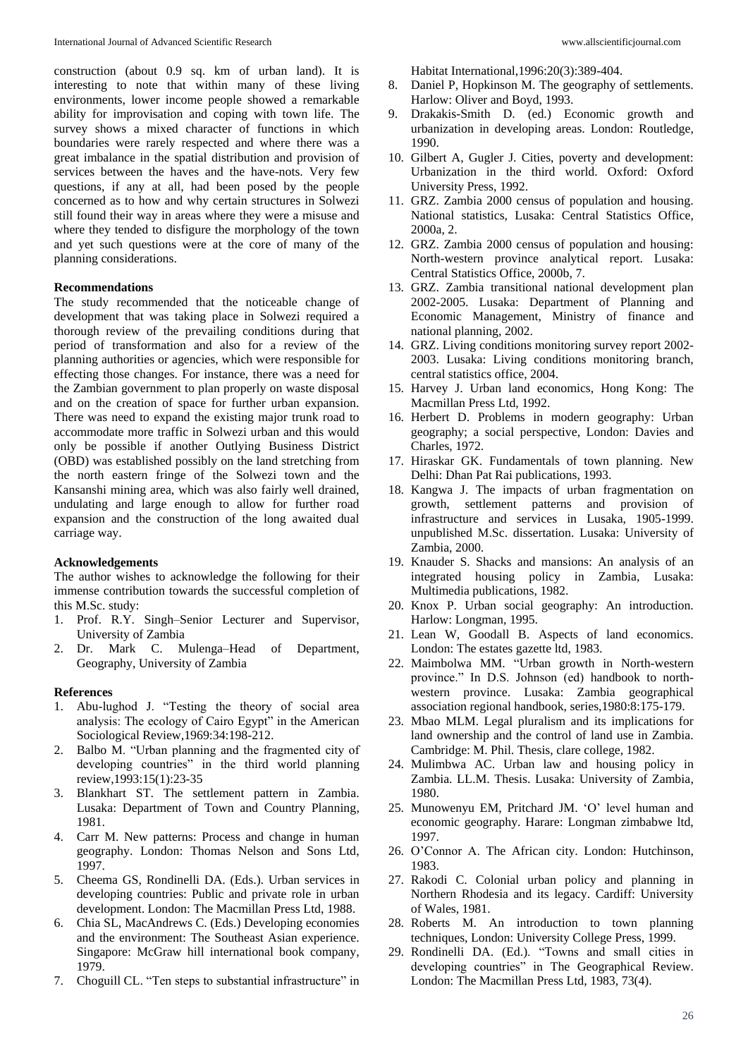construction (about 0.9 sq. km of urban land). It is interesting to note that within many of these living environments, lower income people showed a remarkable ability for improvisation and coping with town life. The survey shows a mixed character of functions in which boundaries were rarely respected and where there was a great imbalance in the spatial distribution and provision of services between the haves and the have-nots. Very few questions, if any at all, had been posed by the people concerned as to how and why certain structures in Solwezi still found their way in areas where they were a misuse and where they tended to disfigure the morphology of the town and yet such questions were at the core of many of the planning considerations.

#### **Recommendations**

The study recommended that the noticeable change of development that was taking place in Solwezi required a thorough review of the prevailing conditions during that period of transformation and also for a review of the planning authorities or agencies, which were responsible for effecting those changes. For instance, there was a need for the Zambian government to plan properly on waste disposal and on the creation of space for further urban expansion. There was need to expand the existing major trunk road to accommodate more traffic in Solwezi urban and this would only be possible if another Outlying Business District (OBD) was established possibly on the land stretching from the north eastern fringe of the Solwezi town and the Kansanshi mining area, which was also fairly well drained, undulating and large enough to allow for further road expansion and the construction of the long awaited dual carriage way.

#### **Acknowledgements**

The author wishes to acknowledge the following for their immense contribution towards the successful completion of this M.Sc. study:

- 1. Prof. R.Y. Singh–Senior Lecturer and Supervisor, University of Zambia
- 2. Dr. Mark C. Mulenga–Head of Department, Geography, University of Zambia

### **References**

- 1. Abu-lughod J. "Testing the theory of social area analysis: The ecology of Cairo Egypt" in the American Sociological Review,1969:34:198-212.
- 2. Balbo M. "Urban planning and the fragmented city of developing countries" in the third world planning review,1993:15(1):23-35
- 3. Blankhart ST. The settlement pattern in Zambia. Lusaka: Department of Town and Country Planning, 1981.
- 4. Carr M. New patterns: Process and change in human geography. London: Thomas Nelson and Sons Ltd, 1997.
- 5. Cheema GS, Rondinelli DA. (Eds.). Urban services in developing countries: Public and private role in urban development. London: The Macmillan Press Ltd, 1988.
- 6. Chia SL, MacAndrews C. (Eds.) Developing economies and the environment: The Southeast Asian experience. Singapore: McGraw hill international book company, 1979.
- 7. Choguill CL. "Ten steps to substantial infrastructure" in

Habitat International,1996:20(3):389-404.

- 8. Daniel P, Hopkinson M. The geography of settlements. Harlow: Oliver and Boyd, 1993.
- 9. Drakakis-Smith D. (ed.) Economic growth and urbanization in developing areas. London: Routledge, 1990.
- 10. Gilbert A, Gugler J. Cities, poverty and development: Urbanization in the third world. Oxford: Oxford University Press, 1992.
- 11. GRZ. Zambia 2000 census of population and housing. National statistics, Lusaka: Central Statistics Office, 2000a, 2.
- 12. GRZ. Zambia 2000 census of population and housing: North-western province analytical report. Lusaka: Central Statistics Office, 2000b, 7.
- 13. GRZ. Zambia transitional national development plan 2002-2005. Lusaka: Department of Planning and Economic Management, Ministry of finance and national planning, 2002.
- 14. GRZ. Living conditions monitoring survey report 2002- 2003. Lusaka: Living conditions monitoring branch, central statistics office, 2004.
- 15. Harvey J. Urban land economics, Hong Kong: The Macmillan Press Ltd, 1992.
- 16. Herbert D. Problems in modern geography: Urban geography; a social perspective, London: Davies and Charles, 1972.
- 17. Hiraskar GK. Fundamentals of town planning. New Delhi: Dhan Pat Rai publications, 1993.
- 18. Kangwa J. The impacts of urban fragmentation on growth, settlement patterns and provision of infrastructure and services in Lusaka, 1905-1999. unpublished M.Sc. dissertation. Lusaka: University of Zambia, 2000.
- 19. Knauder S. Shacks and mansions: An analysis of an integrated housing policy in Zambia, Lusaka: Multimedia publications, 1982.
- 20. Knox P. Urban social geography: An introduction. Harlow: Longman, 1995.
- 21. Lean W, Goodall B. Aspects of land economics. London: The estates gazette ltd, 1983.
- 22. Maimbolwa MM. "Urban growth in North-western province." In D.S. Johnson (ed) handbook to northwestern province. Lusaka: Zambia geographical association regional handbook, series,1980:8:175-179.
- 23. Mbao MLM. Legal pluralism and its implications for land ownership and the control of land use in Zambia. Cambridge: M. Phil. Thesis, clare college, 1982.
- 24. Mulimbwa AC. Urban law and housing policy in Zambia. LL.M. Thesis. Lusaka: University of Zambia, 1980.
- 25. Munowenyu EM, Pritchard JM. 'O' level human and economic geography. Harare: Longman zimbabwe ltd, 1997.
- 26. O'Connor A. The African city. London: Hutchinson, 1983.
- 27. Rakodi C. Colonial urban policy and planning in Northern Rhodesia and its legacy. Cardiff: University of Wales, 1981.
- 28. Roberts M. An introduction to town planning techniques, London: University College Press, 1999.
- 29. Rondinelli DA. (Ed.). "Towns and small cities in developing countries" in The Geographical Review. London: The Macmillan Press Ltd, 1983, 73(4).